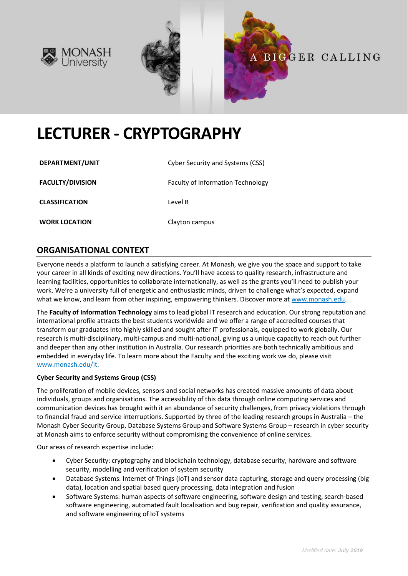





# **LECTURER - CRYPTOGRAPHY**

| DEPARTMENT/UNIT         | Cyber Security and Systems (CSS)         |
|-------------------------|------------------------------------------|
| <b>FACULTY/DIVISION</b> | <b>Faculty of Information Technology</b> |
| <b>CLASSIFICATION</b>   | Level B                                  |
| <b>WORK LOCATION</b>    | Clayton campus                           |

## **ORGANISATIONAL CONTEXT**

Everyone needs a platform to launch a satisfying career. At Monash, we give you the space and support to take your career in all kinds of exciting new directions. You'll have access to quality research, infrastructure and learning facilities, opportunities to collaborate internationally, as well as the grants you'll need to publish your work. We're a university full of energetic and enthusiastic minds, driven to challenge what's expected, expand what we know, and learn from other inspiring, empowering thinkers. Discover more a[t www.monash.edu.](http://www.monash.edu/)

The **Faculty of Information Technology** aims to lead global IT research and education. Our strong reputation and international profile attracts the best students worldwide and we offer a range of accredited courses that transform our graduates into highly skilled and sought after IT professionals, equipped to work globally. Our research is multi-disciplinary, multi-campus and multi-national, giving us a unique capacity to reach out further and deeper than any other institution in Australia. Our research priorities are both technically ambitious and embedded in everyday life. To learn more about the Faculty and the exciting work we do, please visit [www.monash.edu/it.](http://www.monash.edu/it)

#### **Cyber Security and Systems Group (CSS)**

The proliferation of mobile devices, sensors and social networks has created massive amounts of data about individuals, groups and organisations. The accessibility of this data through online computing services and communication devices has brought with it an abundance of security challenges, from privacy violations through to financial fraud and service interruptions. Supported by three of the leading research groups in Australia – the Monash Cyber Security Group, Database Systems Group and Software Systems Group – research in cyber security at Monash aims to enforce security without compromising the convenience of online services.

Our areas of research expertise include:

- Cyber Security: cryptography and blockchain technology, database security, hardware and software security, modelling and verification of system security
- Database Systems: Internet of Things (IoT) and sensor data capturing, storage and query processing (big data), location and spatial based query processing, data integration and fusion
- Software Systems: human aspects of software engineering, software design and testing, search-based software engineering, automated fault localisation and bug repair, verification and quality assurance, and software engineering of IoT systems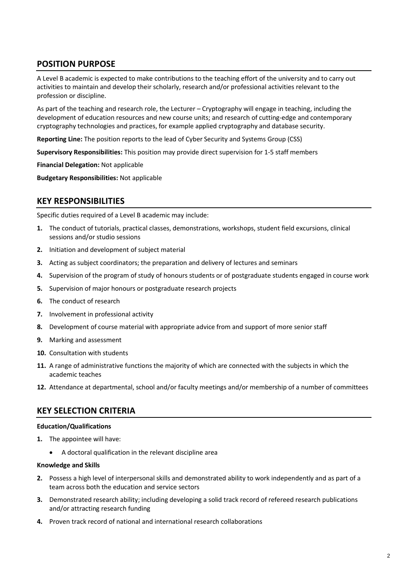# **POSITION PURPOSE**

A Level B academic is expected to make contributions to the teaching effort of the university and to carry out activities to maintain and develop their scholarly, research and/or professional activities relevant to the profession or discipline.

As part of the teaching and research role, the Lecturer – Cryptography will engage in teaching, including the development of education resources and new course units; and research of cutting-edge and contemporary cryptography technologies and practices, for example applied cryptography and database security.

**Reporting Line:** The position reports to the lead of Cyber Security and Systems Group (CSS)

**Supervisory Responsibilities:** This position may provide direct supervision for 1-5 staff members

**Financial Delegation:** Not applicable

**Budgetary Responsibilities:** Not applicable

### **KEY RESPONSIBILITIES**

Specific duties required of a Level B academic may include:

- **1.** The conduct of tutorials, practical classes, demonstrations, workshops, student field excursions, clinical sessions and/or studio sessions
- **2.** Initiation and development of subject material
- **3.** Acting as subject coordinators; the preparation and delivery of lectures and seminars
- **4.** Supervision of the program of study of honours students or of postgraduate students engaged in course work
- **5.** Supervision of major honours or postgraduate research projects
- **6.** The conduct of research
- **7.** Involvement in professional activity
- **8.** Development of course material with appropriate advice from and support of more senior staff
- **9.** Marking and assessment
- **10.** Consultation with students
- **11.** A range of administrative functions the majority of which are connected with the subjects in which the academic teaches
- **12.** Attendance at departmental, school and/or faculty meetings and/or membership of a number of committees

## **KEY SELECTION CRITERIA**

#### **Education/Qualifications**

- **1.** The appointee will have:
	- A doctoral qualification in the relevant discipline area

#### **Knowledge and Skills**

- **2.** Possess a high level of interpersonal skills and demonstrated ability to work independently and as part of a team across both the education and service sectors
- **3.** Demonstrated research ability; including developing a solid track record of refereed research publications and/or attracting research funding
- **4.** Proven track record of national and international research collaborations